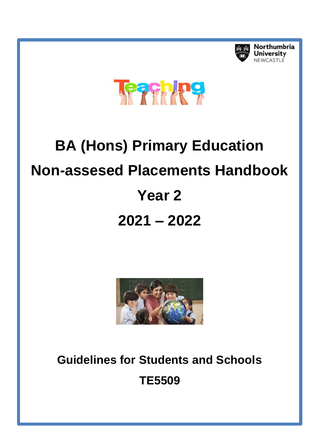

Northumbria **University** NEWCASTLE



# **BA (Hons) Primary Education Non-assesed Placements Handbook Year 2 2021 – 2022**



**Guidelines for Students and Schools TE5509**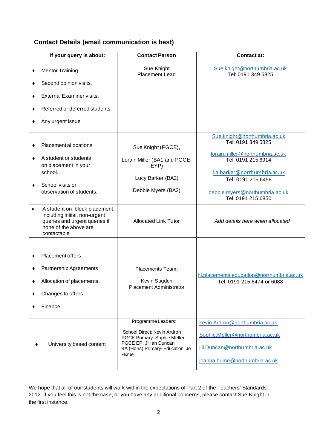# **Contact Details (email communication is best)**

|             | If your query is about:                                                                                                                 | <b>Contact Person</b>                                                                                                                                   | <b>Contact at:</b>                                                                                                                          |
|-------------|-----------------------------------------------------------------------------------------------------------------------------------------|---------------------------------------------------------------------------------------------------------------------------------------------------------|---------------------------------------------------------------------------------------------------------------------------------------------|
| ٠<br>٠<br>٠ | Mentor Training.<br>Second opinion visits.<br>External Examiner visits.                                                                 | Sue Knight<br>Placement Lead                                                                                                                            | Sue.knight@northumbria.ac.uk<br>Tel: 0191 349 5825                                                                                          |
| ٠           | Referred or deferred students.                                                                                                          |                                                                                                                                                         |                                                                                                                                             |
| ٠           | Any urgent issue                                                                                                                        |                                                                                                                                                         |                                                                                                                                             |
| ٠           | Placement allocations<br>A student or students<br>on placement in your<br>school.                                                       | Sue Knight (PGCE),<br>Lorain Miller (BA1 and PGCE-<br>EYP)                                                                                              | Sue.knight@northumbria.ac.uk<br>Tel: 0191 349 5825<br>lorain.miller@northumbria.ac.uk<br>Tel: 0191 215 6914<br>I.a.barker@northumbria.ac.uk |
| ٠           | School visits or<br>observation of students.                                                                                            | Lucy Barker (BA2)<br>Debbie Myers (BA3)                                                                                                                 | Tel: 0191 215 6458<br>debbie.myers@northumbria.ac.uk<br>Tel: 0191 215 6850                                                                  |
| ٠           | A student on block placement,<br>including initial, non-urgent<br>queries and urgent queries if<br>none of the above are<br>contactable | <b>Allocated Link Tutor</b>                                                                                                                             | Add details here when allocated                                                                                                             |
| ٠<br>٠<br>٠ | Placement offers.<br>Partnership Agreements.<br>Allocation of placements.<br>Changes to offers.<br>Finance.                             | Placements Team:<br>Kevin Sugden<br><b>Placement Administrator</b>                                                                                      | hl.placements.education@northumbria.ac.uk<br>Tel: 0191 215 6474 or 6088                                                                     |
|             | University based content                                                                                                                | Programme Leaders:<br>School Direct: Kevin Ardron<br>PGCE Primary: Sophie Meller<br>PGCE EP: Jillian Duncan<br>BA (Hons) Primary- Education: Jo<br>Hume | kevin.Ardron@northumbria.ac.uk<br>Sophie.Meller@northumbria.ac.uk<br>jill.Duncan@northumbria.ac.uk<br>joanna.hume@northumbria.ac.uk         |

We hope that all of our students will work within the expectations of Part 2 of the Teachers' Standards 2012. If you feel this is not the case, or you have any additional concerns, please contact Sue Knight in the first instance.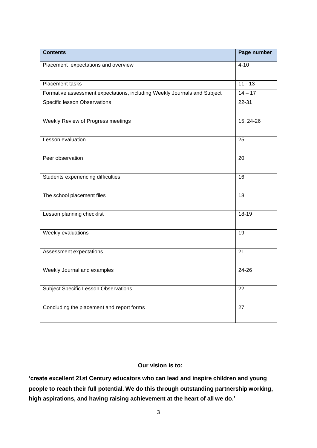| <b>Contents</b>                                                          | Page number     |
|--------------------------------------------------------------------------|-----------------|
| Placement expectations and overview                                      | $4 - 10$        |
| Placement tasks                                                          | $11 - 13$       |
| Formative assessment expectations, including Weekly Journals and Subject | $14 - 17$       |
| Specific lesson Observations                                             | 22-31           |
| Weekly Review of Progress meetings                                       | 15, 24-26       |
| Lesson evaluation                                                        | 25              |
| Peer observation                                                         | 20              |
| Students experiencing difficulties                                       | $\overline{16}$ |
| The school placement files                                               | $\overline{18}$ |
| Lesson planning checklist                                                | $18-19$         |
| Weekly evaluations                                                       | $\overline{19}$ |
| Assessment expectations                                                  | $\overline{21}$ |
| Weekly Journal and examples                                              | 24-26           |
| <b>Subject Specific Lesson Observations</b>                              | 22              |
| Concluding the placement and report forms                                | 27              |

#### **Our vision is to:**

**'create excellent 21st Century educators who can lead and inspire children and young people to reach their full potential. We do this through outstanding partnership working, high aspirations, and having raising achievement at the heart of all we do.'**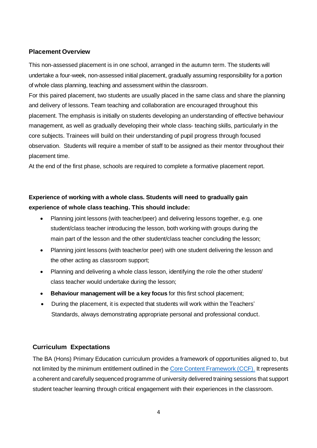#### **Placement Overview**

This non-assessed placement is in one school, arranged in the autumn term. The students will undertake a four-week, non-assessed initial placement, gradually assuming responsibility for a portion of whole class planning, teaching and assessment within the classroom.

For this paired placement, two students are usually placed in the same class and share the planning and delivery of lessons. Team teaching and collaboration are encouraged throughout this placement. The emphasis is initially on students developing an understanding of effective behaviour management, as well as gradually developing their whole class- teaching skills, particularly in the core subjects. Trainees will build on their understanding of pupil progress through focused observation. Students will require a member of staff to be assigned as their mentor throughout their placement time.

At the end of the first phase, schools are required to complete a formative placement report.

# **Experience of working with a whole class. Students will need to gradually gain experience of whole class teaching. This should include:**

- Planning joint lessons (with teacher/peer) and delivering lessons together, e.g. one student/class teacher introducing the lesson, both working with groups during the main part of the lesson and the other student/class teacher concluding the lesson;
- Planning joint lessons (with teacher/or peer) with one student delivering the lesson and the other acting as classroom support;
- Planning and delivering a whole class lesson, identifying the role the other student/ class teacher would undertake during the lesson;
- **Behaviour management will be a key focus** for this first school placement;
- During the placement, it is expected that students will work within the Teachers' Standards, always demonstrating appropriate personal and professional conduct.

#### **Curriculum Expectations**

The BA (Hons) Primary Education curriculum provides a framework of opportunities aligned to, but not limited by the minimum entitlement outlined in the [Core Content Framework \(CCF\).](https://assets.publishing.service.gov.uk/government/uploads/system/uploads/attachment_data/file/974307/ITT_core_content_framework_.pdf) It represents a coherent and carefully sequenced programme of university delivered training sessions that support student teacher learning through critical engagement with their experiences in the classroom.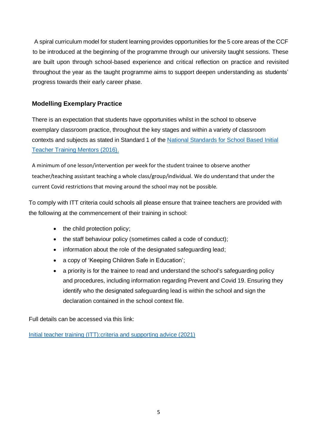A spiral curriculum model for student learning provides opportunities for the 5 core areas of the CCF to be introduced at the beginning of the programme through our university taught sessions. These are built upon through school-based experience and critical reflection on practice and revisited throughout the year as the taught programme aims to support deepen understanding as students' progress towards their early career phase.

## **Modelling Exemplary Practice**

There is an expectation that students have opportunities whilst in the school to observe exemplary classroom practice, throughout the key stages and within a variety of classroom contexts and subjects as stated in Standard 1 of the National Standards for [School Based Initial](https://assets.publishing.service.gov.uk/government/uploads/system/uploads/attachment_data/file/536891/Mentor_standards_report_Final.pdf) [Teacher](https://assets.publishing.service.gov.uk/government/uploads/system/uploads/attachment_data/file/536891/Mentor_standards_report_Final.pdf) Training Mentors (2016).

A minimum of one lesson/intervention per week for the student trainee to observe another teacher/teaching assistant teaching a whole class/group/individual. We do understand that under the current Covid restrictions that moving around the school may not be possible.

To comply with ITT criteria could schools all please ensure that trainee teachers are provided with the following at the commencement of their training in school:

- the child protection policy;
- the staff behaviour policy (sometimes called a code of conduct);
- information about the role of the designated safeguarding lead;
- a copy of 'Keeping Children Safe in Education';
- a priority is for the trainee to read and understand the school's safeguarding policy and procedures, including information regarding Prevent and Covid 19. Ensuring they identify who the designated safeguarding lead is within the school and sign the declaration contained in the school context file.

Full details can be accessed via this link:

Initial teacher training [\(ITT\):criteria and supporting advice \(2021\)](https://www.gov.uk/government/publications/initial-teacher-training-criteria/initial-teacher-training-itt-criteria-and-supporting-advice)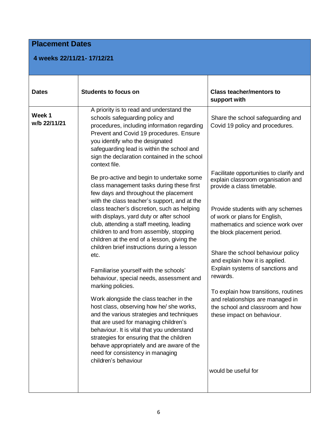# **Placement Dates**

## **4 weeks 22/11/21- 17/12/21**

| <b>Dates</b>           | <b>Students to focus on</b>                                                                                                                                                                                                                                                                                                                                                                                                                                                                                                                                                                           | <b>Class teacher/mentors to</b><br>support with                                                                                                                                                                                                           |
|------------------------|-------------------------------------------------------------------------------------------------------------------------------------------------------------------------------------------------------------------------------------------------------------------------------------------------------------------------------------------------------------------------------------------------------------------------------------------------------------------------------------------------------------------------------------------------------------------------------------------------------|-----------------------------------------------------------------------------------------------------------------------------------------------------------------------------------------------------------------------------------------------------------|
| Week 1<br>w/b 22/11/21 | A priority is to read and understand the<br>schools safeguarding policy and<br>procedures, including information regarding<br>Prevent and Covid 19 procedures. Ensure<br>you identify who the designated<br>safeguarding lead is within the school and<br>sign the declaration contained in the school<br>context file.<br>Be pro-active and begin to undertake some<br>class management tasks during these first<br>few days and throughout the placement<br>with the class teacher's support, and at the<br>class teacher's discretion, such as helping<br>with displays, yard duty or after school | Share the school safeguarding and<br>Covid 19 policy and procedures.<br>Facilitate opportunities to clarify and<br>explain classroom organisation and<br>provide a class timetable.<br>Provide students with any schemes<br>of work or plans for English, |
|                        | club, attending a staff meeting, leading<br>children to and from assembly, stopping<br>children at the end of a lesson, giving the<br>children brief instructions during a lesson<br>etc.<br>Familiarise yourself with the schools'<br>behaviour, special needs, assessment and                                                                                                                                                                                                                                                                                                                       | mathematics and science work over<br>the block placement period.<br>Share the school behaviour policy<br>and explain how it is applied.<br>Explain systems of sanctions and<br>rewards.                                                                   |
|                        | marking policies.<br>Work alongside the class teacher in the<br>host class, observing how he/ she works,<br>and the various strategies and techniques<br>that are used for managing children's<br>behaviour. It is vital that you understand<br>strategies for ensuring that the children<br>behave appropriately and are aware of the<br>need for consistency in managing<br>children's behaviour                                                                                                                                                                                                    | To explain how transitions, routines<br>and relationships are managed in<br>the school and classroom and how<br>these impact on behaviour.<br>would be useful for                                                                                         |
|                        |                                                                                                                                                                                                                                                                                                                                                                                                                                                                                                                                                                                                       |                                                                                                                                                                                                                                                           |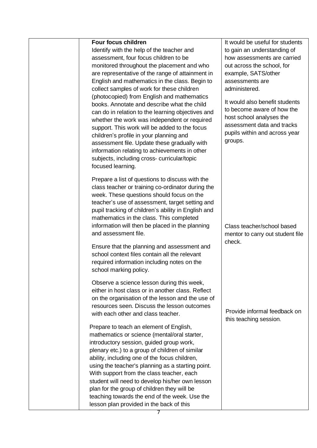| <b>Four focus children</b>                          | It would be useful for students                              |
|-----------------------------------------------------|--------------------------------------------------------------|
| Identify with the help of the teacher and           | to gain an understanding of                                  |
| assessment, four focus children to be               | how assessments are carried                                  |
| monitored throughout the placement and who          | out across the school, for                                   |
| are representative of the range of attainment in    | example, SATS/other                                          |
| English and mathematics in the class. Begin to      | assessments are                                              |
| collect samples of work for these children          | administered.                                                |
| (photocopied) from English and mathematics          |                                                              |
| books. Annotate and describe what the child         | It would also benefit students<br>to become aware of how the |
| can do in relation to the learning objectives and   |                                                              |
| whether the work was independent or required        | host school analyses the                                     |
| support. This work will be added to the focus       | assessment data and tracks                                   |
| children's profile in your planning and             | pupils within and across year                                |
| assessment file. Update these gradually with        | groups.                                                      |
| information relating to achievements in other       |                                                              |
| subjects, including cross- curricular/topic         |                                                              |
| focused learning.                                   |                                                              |
|                                                     |                                                              |
| Prepare a list of questions to discuss with the     |                                                              |
| class teacher or training co-ordinator during the   |                                                              |
| week. These questions should focus on the           |                                                              |
| teacher's use of assessment, target setting and     |                                                              |
| pupil tracking of children's ability in English and |                                                              |
| mathematics in the class. This completed            |                                                              |
| information will then be placed in the planning     | Class teacher/school based                                   |
| and assessment file.                                | mentor to carry out student file                             |
|                                                     | check.                                                       |
|                                                     |                                                              |
| Ensure that the planning and assessment and         |                                                              |
| school context files contain all the relevant       |                                                              |
| required information including notes on the         |                                                              |
| school marking policy.                              |                                                              |
| Observe a science lesson during this week,          |                                                              |
| either in host class or in another class. Reflect   |                                                              |
| on the organisation of the lesson and the use of    |                                                              |
| resources seen. Discuss the lesson outcomes         |                                                              |
| with each other and class teacher.                  | Provide informal feedback on                                 |
|                                                     | this teaching session.                                       |
| Prepare to teach an element of English,             |                                                              |
| mathematics or science (mental/oral starter,        |                                                              |
| introductory session, guided group work,            |                                                              |
| plenary etc.) to a group of children of similar     |                                                              |
| ability, including one of the focus children,       |                                                              |
| using the teacher's planning as a starting point.   |                                                              |
| With support from the class teacher, each           |                                                              |
| student will need to develop his/her own lesson     |                                                              |
| plan for the group of children they will be         |                                                              |
| teaching towards the end of the week. Use the       |                                                              |

booklet.<br>Booklet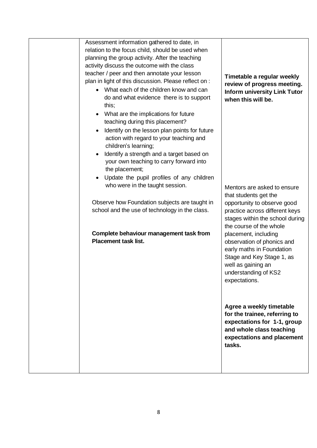|  | Assessment information gathered to date, in<br>relation to the focus child, should be used when<br>planning the group activity. After the teaching<br>activity discuss the outcome with the class                                                                                                                                                                                                      |                                                                                                                                                                                     |
|--|--------------------------------------------------------------------------------------------------------------------------------------------------------------------------------------------------------------------------------------------------------------------------------------------------------------------------------------------------------------------------------------------------------|-------------------------------------------------------------------------------------------------------------------------------------------------------------------------------------|
|  | teacher / peer and then annotate your lesson<br>plan in light of this discussion. Please reflect on :<br>What each of the children know and can<br>$\bullet$<br>do and what evidence there is to support<br>this;                                                                                                                                                                                      | Timetable a regular weekly<br>review of progress meeting.<br><b>Inform university Link Tutor</b><br>when this will be.                                                              |
|  | What are the implications for future<br>$\bullet$<br>teaching during this placement?<br>Identify on the lesson plan points for future<br>$\bullet$<br>action with regard to your teaching and<br>children's learning;<br>Identify a strength and a target based on<br>$\bullet$<br>your own teaching to carry forward into<br>the placement;<br>Update the pupil profiles of any children<br>$\bullet$ |                                                                                                                                                                                     |
|  | who were in the taught session.<br>Observe how Foundation subjects are taught in<br>school and the use of technology in the class.                                                                                                                                                                                                                                                                     | Mentors are asked to ensure<br>that students get the<br>opportunity to observe good<br>practice across different keys<br>stages within the school during<br>the course of the whole |
|  | Complete behaviour management task from<br><b>Placement task list.</b>                                                                                                                                                                                                                                                                                                                                 | placement, including<br>observation of phonics and<br>early maths in Foundation<br>Stage and Key Stage 1, as<br>well as gaining an<br>understanding of KS2<br>expectations.         |
|  |                                                                                                                                                                                                                                                                                                                                                                                                        | Agree a weekly timetable<br>for the trainee, referring to<br>expectations for 1-1, group<br>and whole class teaching<br>expectations and placement<br>tasks.                        |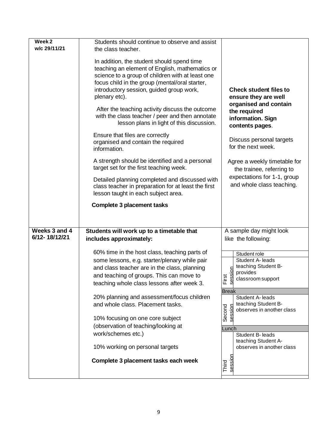| Week <sub>2</sub> | Students should continue to observe and assist                                                                                                                                                                                                                  |                                                                               |
|-------------------|-----------------------------------------------------------------------------------------------------------------------------------------------------------------------------------------------------------------------------------------------------------------|-------------------------------------------------------------------------------|
| w/c 29/11/21      | the class teacher.                                                                                                                                                                                                                                              |                                                                               |
|                   | In addition, the student should spend time<br>teaching an element of English, mathematics or<br>science to a group of children with at least one<br>focus child in the group (mental/oral starter,<br>introductory session, guided group work,<br>plenary etc). | <b>Check student files to</b><br>ensure they are well                         |
|                   | After the teaching activity discuss the outcome<br>with the class teacher / peer and then annotate<br>lesson plans in light of this discussion.                                                                                                                 | organised and contain<br>the required<br>information. Sign<br>contents pages. |
|                   | Ensure that files are correctly<br>organised and contain the required<br>information.                                                                                                                                                                           | Discuss personal targets<br>for the next week.                                |
|                   | A strength should be identified and a personal<br>target set for the first teaching week.                                                                                                                                                                       | Agree a weekly timetable for<br>the trainee, referring to                     |
|                   | Detailed planning completed and discussed with<br>class teacher in preparation for at least the first<br>lesson taught in each subject area.                                                                                                                    | expectations for 1-1, group<br>and whole class teaching.                      |
|                   | <b>Complete 3 placement tasks</b>                                                                                                                                                                                                                               |                                                                               |
|                   |                                                                                                                                                                                                                                                                 |                                                                               |
|                   |                                                                                                                                                                                                                                                                 |                                                                               |
| Weeks 3 and 4     | Students will work up to a timetable that                                                                                                                                                                                                                       | A sample day might look                                                       |
| 6/12-18/12/21     | includes approximately:                                                                                                                                                                                                                                         | like the following:                                                           |
|                   |                                                                                                                                                                                                                                                                 |                                                                               |
|                   | 60% time in the host class, teaching parts of<br>some lessons, e.g. starter/plenary while pair                                                                                                                                                                  | Student role<br>Student A- leads                                              |
|                   | and class teacher are in the class, planning                                                                                                                                                                                                                    | teaching Student B-                                                           |
|                   | and teaching of groups. This can move to                                                                                                                                                                                                                        | sion<br>provides                                                              |
|                   | teaching whole class lessons after week 3.                                                                                                                                                                                                                      | First<br>sess<br>classroom support                                            |
|                   |                                                                                                                                                                                                                                                                 | <b>Break</b>                                                                  |
|                   | 20% planning and assessment/focus children                                                                                                                                                                                                                      | Student A- leads                                                              |
|                   | and whole class. Placement tasks.                                                                                                                                                                                                                               | teaching Student B-<br>observes in another class                              |
|                   | 10% focusing on one core subject                                                                                                                                                                                                                                | Second                                                                        |
|                   |                                                                                                                                                                                                                                                                 |                                                                               |
|                   |                                                                                                                                                                                                                                                                 |                                                                               |
|                   | (observation of teaching/looking at<br>work/schemes etc.)                                                                                                                                                                                                       | Lunch                                                                         |
|                   |                                                                                                                                                                                                                                                                 | Student B- leads<br>teaching Student A-                                       |
|                   | 10% working on personal targets                                                                                                                                                                                                                                 | observes in another class                                                     |
|                   | Complete 3 placement tasks each week                                                                                                                                                                                                                            | sessio<br>Third                                                               |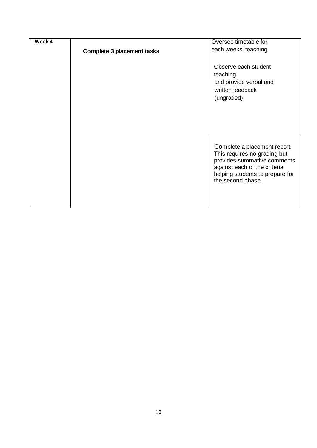| Week 4 |                                   | Oversee timetable for                                        |
|--------|-----------------------------------|--------------------------------------------------------------|
|        | <b>Complete 3 placement tasks</b> | each weeks' teaching                                         |
|        |                                   |                                                              |
|        |                                   | Observe each student                                         |
|        |                                   | teaching                                                     |
|        |                                   | and provide verbal and                                       |
|        |                                   | written feedback                                             |
|        |                                   | (ungraded)                                                   |
|        |                                   |                                                              |
|        |                                   |                                                              |
|        |                                   |                                                              |
|        |                                   |                                                              |
|        |                                   |                                                              |
|        |                                   | Complete a placement report.                                 |
|        |                                   | This requires no grading but                                 |
|        |                                   | provides summative comments<br>against each of the criteria, |
|        |                                   | helping students to prepare for                              |
|        |                                   | the second phase.                                            |
|        |                                   |                                                              |
|        |                                   |                                                              |
|        |                                   |                                                              |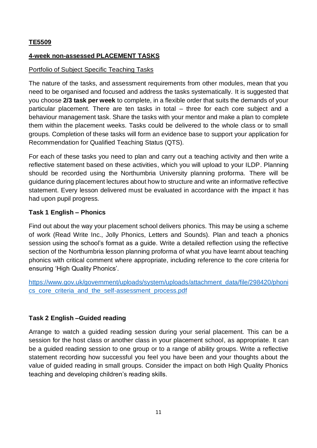## **TE5509**

### **4-week non-assessed PLACEMENT TASKS**

### Portfolio of Subject Specific Teaching Tasks

The nature of the tasks, and assessment requirements from other modules, mean that you need to be organised and focused and address the tasks systematically. It is suggested that you choose **2/3 task per week** to complete, in a flexible order that suits the demands of your particular placement. There are ten tasks in total – three for each core subject and a behaviour management task. Share the tasks with your mentor and make a plan to complete them within the placement weeks. Tasks could be delivered to the whole class or to small groups. Completion of these tasks will form an evidence base to support your application for Recommendation for Qualified Teaching Status (QTS).

For each of these tasks you need to plan and carry out a teaching activity and then write a reflective statement based on these activities, which you will upload to your ILDP. Planning should be recorded using the Northumbria University planning proforma. There will be guidance during placement lectures about how to structure and write an informative reflective statement. Every lesson delivered must be evaluated in accordance with the impact it has had upon pupil progress.

## **Task 1 English – Phonics**

Find out about the way your placement school delivers phonics. This may be using a scheme of work (Read Write Inc., Jolly Phonics, Letters and Sounds). Plan and teach a phonics session using the school's format as a guide. Write a detailed reflection using the reflective section of the Northumbria lesson planning proforma of what you have learnt about teaching phonics with critical comment where appropriate, including reference to the core criteria for ensuring 'High Quality Phonics'.

[https://www.gov.uk/government/uploads/system/uploads/attachment\\_data/file/298420/phoni](https://www.gov.uk/government/uploads/system/uploads/attachment_data/file/298420/phonics_core_criteria_and_the_self-assessment_process.pdf) cs core criteria and the self-assessment process.pdf

## **Task 2 English –Guided reading**

Arrange to watch a guided reading session during your serial placement. This can be a session for the host class or another class in your placement school, as appropriate. It can be a guided reading session to one group or to a range of ability groups. Write a reflective statement recording how successful you feel you have been and your thoughts about the value of guided reading in small groups. Consider the impact on both High Quality Phonics teaching and developing children's reading skills.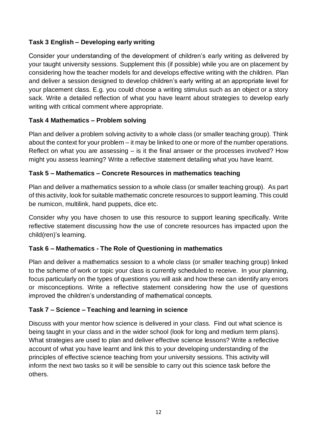## **Task 3 English – Developing early writing**

Consider your understanding of the development of children's early writing as delivered by your taught university sessions. Supplement this (if possible) while you are on placement by considering how the teacher models for and develops effective writing with the children. Plan and deliver a session designed to develop children's early writing at an appropriate level for your placement class. E.g. you could choose a writing stimulus such as an object or a story sack. Write a detailed reflection of what you have learnt about strategies to develop early writing with critical comment where appropriate.

## **Task 4 Mathematics – Problem solving**

Plan and deliver a problem solving activity to a whole class (or smaller teaching group). Think about the context for your problem – it may be linked to one or more of the number operations. Reflect on what you are assessing – is it the final answer or the processes involved? How might you assess learning? Write a reflective statement detailing what you have learnt.

## **Task 5 – Mathematics – Concrete Resources in mathematics teaching**

Plan and deliver a mathematics session to a whole class (or smaller teaching group). As part of this activity, look for suitable mathematic concrete resources to support learning. This could be numicon, multilink, hand puppets, dice etc.

Consider why you have chosen to use this resource to support leaning specifically. Write reflective statement discussing how the use of concrete resources has impacted upon the child(ren)'s learning.

## **Task 6 – Mathematics - The Role of Questioning in mathematics**

Plan and deliver a mathematics session to a whole class (or smaller teaching group) linked to the scheme of work or topic your class is currently scheduled to receive. In your planning, focus particularly on the types of questions you will ask and how these can identify any errors or misconceptions. Write a reflective statement considering how the use of questions improved the children's understanding of mathematical concepts.

## **Task 7 – Science – Teaching and learning in science**

Discuss with your mentor how science is delivered in your class. Find out what science is being taught in your class and in the wider school (look for long and medium term plans). What strategies are used to plan and deliver effective science lessons? Write a reflective account of what you have learnt and link this to your developing understanding of the principles of effective science teaching from your university sessions. This activity will inform the next two tasks so it will be sensible to carry out this science task before the others.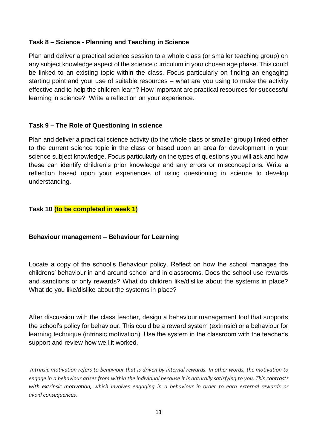### **Task 8 – Science - Planning and Teaching in Science**

Plan and deliver a practical science session to a whole class (or smaller teaching group) on any subject knowledge aspect of the science curriculum in your chosen age phase. This could be linked to an existing topic within the class. Focus particularly on finding an engaging starting point and your use of suitable resources – what are you using to make the activity effective and to help the children learn? How important are practical resources for successful learning in science? Write a reflection on your experience.

### **Task 9 – The Role of Questioning in science**

Plan and deliver a practical science activity (to the whole class or smaller group) linked either to the current science topic in the class or based upon an area for development in your science subject knowledge. Focus particularly on the types of questions you will ask and how these can identify children's prior knowledge and any errors or misconceptions. Write a reflection based upon your experiences of using questioning in science to develop understanding.

### **Task 10 (to be completed in week 1)**

#### **Behaviour management – Behaviour for Learning**

Locate a copy of the school's Behaviour policy. Reflect on how the school manages the childrens' behaviour in and around school and in classrooms. Does the school use rewards and sanctions or only rewards? What do children like/dislike about the systems in place? What do you like/dislike about the systems in place?

After discussion with the class teacher, design a behaviour management tool that supports the school's policy for behaviour. This could be a reward system (extrinsic) or a behaviour for learning technique (intrinsic motivation). Use the system in the classroom with the teacher's support and review how well it worked.

*Intrinsic motivation refers to behaviour that is driven by internal rewards. In other words, the motivation to engage in a behaviour arises from within the individual because it is naturally satisfying to you. This [contrasts](https://www.verywellmind.com/differences-between-extrinsic-and-intrinsic-motivation-2795384)  [with extrinsic motivation,](https://www.verywellmind.com/differences-between-extrinsic-and-intrinsic-motivation-2795384) which involves engaging in a behaviour in order to earn external rewards or avoid consequences.*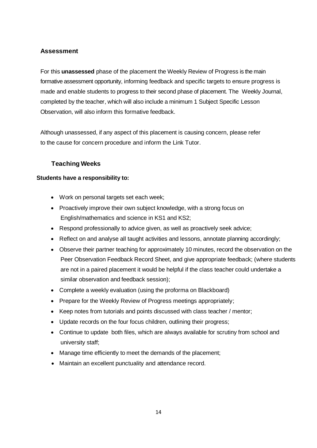## **Assessment**

For this **unassessed** phase of the placement the Weekly Review of Progress is the main formative assessment opportunity, informing feedback and specific targets to ensure progress is made and enable students to progress to their second phase of placement. The Weekly Journal, completed by the teacher, which will also include a minimum 1 Subject Specific Lesson Observation, will also inform this formative feedback.

Although unassessed, if any aspect of this placement is causing concern, please refer to the cause for concern procedure and inform the Link Tutor.

### **Teaching Weeks**

#### **Students have a responsibility to:**

- Work on personal targets set each week;
- Proactively improve their own subject knowledge, with a strong focus on English/mathematics and science in KS1 and KS2;
- Respond professionally to advice given, as well as proactively seek advice;
- Reflect on and analyse all taught activities and lessons, annotate planning accordingly;
- Observe their partner teaching for approximately 10 minutes, record the observation on the Peer Observation Feedback Record Sheet, and give appropriate feedback; (where students are not in a paired placement it would be helpful if the class teacher could undertake a similar observation and feedback session);
- Complete a weekly evaluation (using the proforma on Blackboard)
- Prepare for the Weekly Review of Progress meetings appropriately;
- Keep notes from tutorials and points discussed with class teacher / mentor;
- Update records on the four focus children, outlining their progress;
- Continue to update both files, which are always available for scrutiny from school and university staff;
- Manage time efficiently to meet the demands of the placement;
- Maintain an excellent punctuality and attendance record.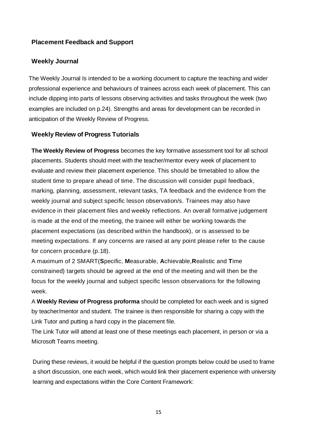#### **Placement Feedback and Support**

#### **Weekly Journal**

The Weekly Journal Is intended to be a working document to capture the teaching and wider professional experience and behaviours of trainees across each week of placement. This can include dipping into parts of lessons observing activities and tasks throughout the week (two examples are included on p.24). Strengths and areas for development can be recorded in anticipation of the Weekly Review of Progress.

#### **Weekly Review of Progress Tutorials**

**The Weekly Review of Progress** becomes the key formative assessment tool for all school placements. Students should meet with the teacher/mentor every week of placement to evaluate and review their placement experience. This should be timetabled to allow the student time to prepare ahead of time. The discussion will consider pupil feedback, marking, planning, assessment, relevant tasks, TA feedback and the evidence from the weekly journal and subject specific lesson observation/s. Trainees may also have evidence in their placement files and weekly reflections. An overall formative judgement is made at the end of the meeting, the trainee will either be working towards the placement expectations (as described within the handbook), or is assessed to be meeting expectations. If any concerns are raised at any point please refer to the cause for concern procedure (p.18).

A maximum of 2 SMART(**S**pecific, **M**easurable, **A**chievable,**R**ealistic and **T**ime constrained) targets should be agreed at the end of the meeting and will then be the focus for the weekly journal and subject specific lesson observations for the following week.

A **Weekly Review of Progress proforma** should be completed for each week and is signed by teacher/mentor and student. The trainee is then responsible for sharing a copy with the Link Tutor and putting a hard copy in the placement file.

The Link Tutor will attend at least one of these meetings each placement, in person or via a Microsoft Teams meeting.

During these reviews, it would be helpful if the question prompts below could be used to frame a short discussion, one each week, which would link their placement experience with university learning and expectations within the Core Content Framework: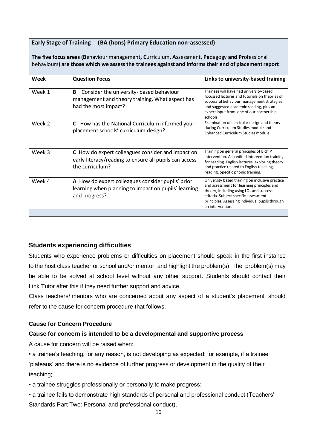#### **Early Stage of Training (BA (hons) Primary Education non-assessed)**

**The five focus areas (B**ehaviour management**, C**urriculum**, A**ssessment**, Pe**dagogy **and Pr**ofessional behaviours**) are those which we assess the trainees against and informs their end of placement report**

| Week   | <b>Question Focus</b>                                                                                                          | Links to university-based training                                                                                                                                                                                                                       |
|--------|--------------------------------------------------------------------------------------------------------------------------------|----------------------------------------------------------------------------------------------------------------------------------------------------------------------------------------------------------------------------------------------------------|
| Week 1 | Consider the university- based behaviour<br>B<br>management and theory training. What aspect has<br>had the most impact?       | Trainees will have had university-based<br>focussed lectures and tutorials on theories of<br>successful behaviour management strategies<br>and suggested academic reading, plus an<br>expert input from one of our partnership<br>schools                |
| Week 2 | How has the National Curriculum informed your<br>C.<br>placement schools' curriculum design?                                   | Examination of curricular design and theory<br>during Curriculum Studies module and<br>Enhanced Curriculum Studies module.                                                                                                                               |
| Week 3 | C How do expert colleagues consider and impact on<br>early literacy/reading to ensure all pupils can access<br>the curriculum? | Training on general principles of BR@P<br>intervention. Accredited intervention training<br>for reading. English lectures exploring theory<br>and practice related to English teaching,<br>reading. Specific phonic training.                            |
| Week 4 | A How do expert colleagues consider pupils' prior<br>learning when planning to impact on pupils' learning<br>and progress?     | University based training on inclusive practice<br>and assessment for learning principles and<br>theory, including using LOs and success<br>criteria. Subject specific assessment<br>principles. Assessing individual pupils through<br>an intervention. |

#### **Students experiencing difficulties**

Students who experience problems or difficulties on placement should speak in the first instance to the host class teacher or school and/or mentor and highlight the problem(s). The problem(s) may be able to be solved at school level without any other support. Students should contact their Link Tutor after this if they need further support and advice.

Class teachers/ mentors who are concerned about any aspect of a student's placement should refer to the cause for concern procedure that follows.

#### **Cause for Concern Procedure**

#### **Cause for concern is intended to be a developmental and supportive process**

A cause for concern will be raised when:

• a trainee's teaching, for any reason, is not developing as expected; for example, if a trainee 'plateaus' and there is no evidence of further progress or development in the quality of their teaching;

• a trainee struggles professionally or personally to make progress;

• a trainee fails to demonstrate high standards of personal and professional conduct (Teachers' Standards Part Two: Personal and professional conduct).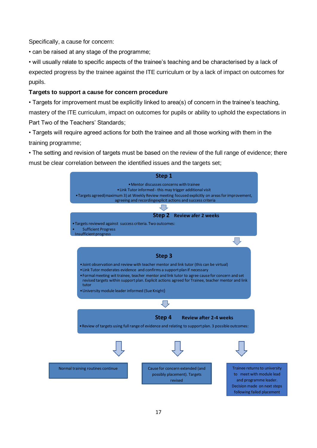Specifically, a cause for concern:

• can be raised at any stage of the programme;

• will usually relate to specific aspects of the trainee's teaching and be characterised by a lack of expected progress by the trainee against the ITE curriculum or by a lack of impact on outcomes for pupils.

#### **Targets to support a cause for concern procedure**

• Targets for improvement must be explicitly linked to area(s) of concern in the trainee's teaching, mastery of the ITE curriculum, impact on outcomes for pupils or ability to uphold the expectations in Part Two of the Teachers' Standards;

• Targets will require agreed actions for both the trainee and all those working with them in the training programme;

• The setting and revision of targets must be based on the review of the full range of evidence; there must be clear correlation between the identified issues and the targets set;

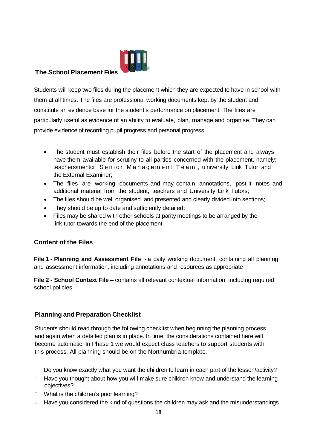

### **The School Placement Files**

Students will keep two files during the placement which they are expected to have in school with them at all times. The files are professional working documents kept by the student and constitute an evidence base for the student's performance on placement. The files are particularly useful as evidence of an ability to evaluate, plan, manage and organise. They can provide evidence of recording pupil progress and personal progress.

- The student must establish their files before the start of the placement and always have them available for scrutiny to all parties concerned with the placement, namely; teachers/mentor, Senior Management Team, university Link Tutor and the External Examiner;
- The files are working documents and may contain annotations, post-it notes and additional material from the student, teachers and University Link Tutors;
- The files should be well organised and presented and clearly divided into sections;
- They should be up to date and sufficiently detailed;
- Files may be shared with other schools at parity meetings to be arranged by the link tutor towards the end of the placement.

## **Content of the Files**

**File 1 - Planning and Assessment File -** a daily working document, containing all planning and assessment information, including annotations and resources as appropriate

**File 2 - School Context File –** contains all relevant contextual information, including required school policies.

## **Planning and Preparation Checklist**

Students should read through the following checklist when beginning the planning process and again when a detailed plan is in place. In time, the considerations contained here will become automatic. In Phase 1 we would expect class teachers to support students with this process. All planning should be on the Northumbria template.

- $\Box$  Do you know exactly what you want the children to learn in each part of the lesson/activity?
- $\Box$  Have you thought about how you will make sure children know and understand the learning objectives?
- $\Box$  What is the children's prior learning?
- $\Box$  Have you considered the kind of questions the children may ask and the misunderstandings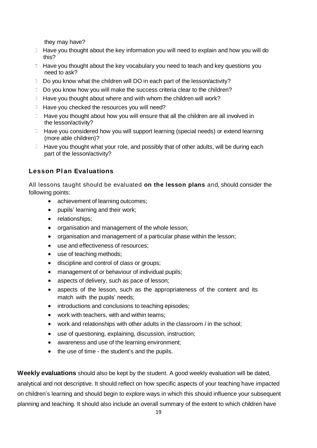they may have?

- <sup>1</sup> Have you thought about the key information you will need to explain and how you will do this?
- $\Box$  Have you thought about the key vocabulary you need to teach and key questions you need to ask?
- $\Box$  Do you know what the children will DO in each part of the lesson/activity?
- Do you know how you will make the success criteria clear to the children?
- $\Box$  Have you thought about where and with whom the children will work?
- $\Box$  Have you checked the resources you will need?
- $\Box$  Have you thought about how you will ensure that all the children are all involved in the lesson/activity?
- $\Box$  Have you considered how you will support learning (special needs) or extend learning (more able children)?
- $\Box$  Have you thought what your role, and possibly that of other adults, will be during each part of the lesson/activity?

## **Lesson Pl an Evaluations**

All lessons taught should be evaluated **on the lesson plans** and, should consider the following points:

- achievement of learning outcomes:
- pupils' learning and their work;
- relationships:
- organisation and management of the whole lesson;
- organisation and management of a particular phase within the lesson;
- use and effectiveness of resources;
- use of teaching methods;
- discipline and control of class or groups;
- management of or behaviour of individual pupils;
- aspects of delivery, such as pace of lesson;
- aspects of the lesson, such as the appropriateness of the content and its match with the pupils' needs;
- introductions and conclusions to teaching episodes:
- work with teachers, with and within teams;
- work and relationships with other adults in the classroom / in the school;
- use of questioning, explaining, discussion, instruction;
- awareness and use of the learning environment;
- the use of time the student's and the pupils.

**Weekly evaluations** should also be kept by the student. A good weekly evaluation will be dated, analytical and not descriptive. It should reflect on how specific aspects of your teaching have impacted

on children's learning and should begin to explore ways in which this should influence your subsequent planning and teaching. It should also include an overall summary of the extent to which children have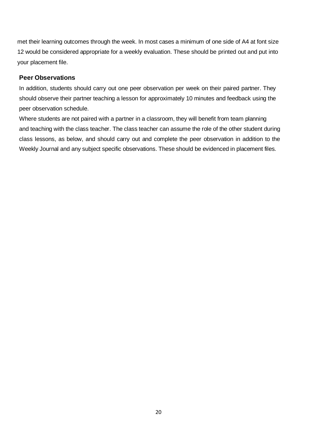met their learning outcomes through the week. In most cases a minimum of one side of A4 at font size 12 would be considered appropriate for a weekly evaluation. These should be printed out and put into your placement file.

#### **Peer Observations**

In addition, students should carry out one peer observation per week on their paired partner. They should observe their partner teaching a lesson for approximately 10 minutes and feedback using the peer observation schedule.

Where students are not paired with a partner in a classroom, they will benefit from team planning and teaching with the class teacher. The class teacher can assume the role of the other student during class lessons, as below, and should carry out and complete the peer observation in addition to the Weekly Journal and any subject specific observations. These should be evidenced in placement files.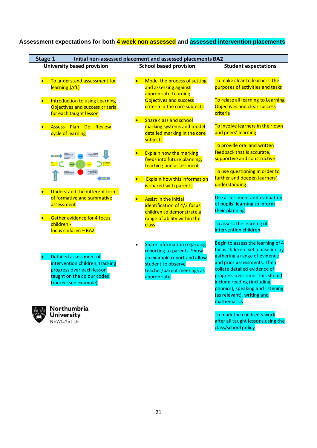# **Assessment expectations for both 4 week non assessed and assessed intervention placements**

| Stage 1<br>Initial non-assessed placement and assessed placements BA2                                                                         |                                                                                                                                                                    |                                                                                                                                                                                                                                                                                                                          |  |
|-----------------------------------------------------------------------------------------------------------------------------------------------|--------------------------------------------------------------------------------------------------------------------------------------------------------------------|--------------------------------------------------------------------------------------------------------------------------------------------------------------------------------------------------------------------------------------------------------------------------------------------------------------------------|--|
| <b>University based provision</b>                                                                                                             | <b>School based provision</b>                                                                                                                                      | <b>Student expectations</b>                                                                                                                                                                                                                                                                                              |  |
| To understand assessment for<br>$\bullet$<br>learning (AfL)                                                                                   | Model the process of setting<br>$\bullet$<br>and assessing against<br>appropriate Learning<br>Objectives and success                                               | To make clear to learners the<br>purposes of activities and tasks<br>To relate all learning to Learning                                                                                                                                                                                                                  |  |
| <b>Introduction to using Learning</b><br>Objectives and success criteria<br>for each taught lesson                                            | criteria in the core subjects<br><b>Share class and school</b>                                                                                                     | Objectives and clear success<br>criteria                                                                                                                                                                                                                                                                                 |  |
| Assess - Plan - Do - Review<br>cycle of learning                                                                                              | marking systems and model<br>detailed marking in the core<br>subjects                                                                                              | To involve learners in their own<br>and peers' learning                                                                                                                                                                                                                                                                  |  |
|                                                                                                                                               | <b>Explain how the marking</b><br>feeds into future planning,<br>teaching and assessment                                                                           | To provide oral and written<br>feedback that is accurate,<br>supportive and constructive                                                                                                                                                                                                                                 |  |
| <b>Understand the different forms</b>                                                                                                         | <b>Explain how this information</b><br>is shared with parents                                                                                                      | To use questioning in order to<br>further and deepen learners'<br>understanding                                                                                                                                                                                                                                          |  |
| of formative and summative<br>assessment                                                                                                      | <b>Assist in the initial</b><br>identification of 4/2 focus<br>children to demonstrate a                                                                           | Use assessment and evaluation<br>of pupils' learning to inform<br>their planning                                                                                                                                                                                                                                         |  |
| <b>Gather evidence for 4 focus</b><br>children -<br>focus children - BA2                                                                      | range of ability within the<br>class                                                                                                                               | To assess the learning of<br>intervention children                                                                                                                                                                                                                                                                       |  |
| Detailed assessment of<br>intervention children, tracking<br>progress over each lesson<br>taught on the colour coded<br>tracker (see example) | <b>Share information regarding</b><br>reporting to parents. Show<br>an example report and allow<br>student to observe<br>teacher/parent meetings as<br>appropriate | Begin to assess the learning of 4<br>focus children. Set a baseline by<br>gathering a range of evidence<br>and prior assessments. Then<br>collate detailed evidence of<br>progress over time. This should<br>include reading (including<br>phonics), speaking and listening<br>(as relevant), writing and<br>mathematics |  |
| Northumbria<br><b>University</b><br>NEWCASTLE                                                                                                 |                                                                                                                                                                    | To mark the children's work<br>after all taught lessons using the<br>class/school policy                                                                                                                                                                                                                                 |  |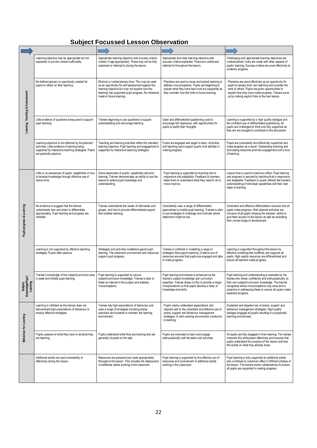# **Subject Focussed Lesson Observation**

|                                         | Learning objective may be appropriate but not<br>explained or put into context sufficiently.                                                                                          | Appropriate learning objective and success criteria<br>visible (if age appropriate). These may not be fully<br>explained or referred to during the lesson.                                                                                 | Appropriate and clear learning objective with<br>success criteria explained. These are visible and<br>referred to throughout the lesson.                                                                                         | Challenging and appropriate learning objectives are<br>contextualised. Links are made with other aspects of<br>pupils' learning. Success criteria are used effectively to<br>evidence progress.                                                                                                          |
|-----------------------------------------|---------------------------------------------------------------------------------------------------------------------------------------------------------------------------------------|--------------------------------------------------------------------------------------------------------------------------------------------------------------------------------------------------------------------------------------------|----------------------------------------------------------------------------------------------------------------------------------------------------------------------------------------------------------------------------------|----------------------------------------------------------------------------------------------------------------------------------------------------------------------------------------------------------------------------------------------------------------------------------------------------------|
| Leaming, Teaching & Assessment          | No defined plenary or opportunity created for<br>pupils to reflect on their learning.                                                                                                 | Minimal or rushed plenary time. This may be used<br>as an opportunity for self-assessment against the<br>learning objective but may not explore how the<br>teaching has supported pupil progress. No reference<br>made to future learning. | Plenaries are used to recap and extend learning or<br>address misconceptions. Pupils are beginning to<br>explain what they have learn and are supported as<br>they consider how this links to future learning.                   | Plenaries are used effectively as an opportunity for<br>pupils to assess their own learning and consider the<br>work of others. Pupils are given opportunities to<br>explain how they have made progress. Trainee sums<br>up by making explicit links to the next lesson.                                |
|                                         | Little evidence of questions being used to support<br>pupil learning.                                                                                                                 | Trainee beginning to use questions to support<br>understanding and encourage learning.                                                                                                                                                     | Open and differentiated questioning used to<br>encourage full responses, with opportunities for<br>pupils to justify their thoughts.                                                                                             | Learning is supported by a high quality dialogue and<br>the confident use of differentiated questioning. All<br>pupils are challenged to think and fully supported as<br>they are encouraged to contribute to the discussion                                                                             |
|                                         | Learning objective is not reflected by the planned<br>activities. Little evidence of learning being<br>supported by interactive teaching strategies. Pupils<br>are generally passive. | Teaching and learning activities reflect the intended<br>learning objective. Pupil learning and engagement is<br>supported by interactive teaching strategies.                                                                             | Pupils are engaged and eager to learn. Activities<br>and teaching input support pupils of all abilities in<br>making progress.                                                                                                   | Pupils are consistently and effectively supported and<br>make progress as a result. Outstanding teaching and<br>stimulating resources promote engagement and a love<br>of learning.                                                                                                                      |
|                                         | Little or no awareness of pupils' capabilities or how<br>to develop knowledge through effective use of<br>lesson time.                                                                | Some awareness of pupils' capabilities and prior<br>learning. Trainee demonstrates an ability to use the<br>lesson to extend pupil knowledge and<br>understanding.                                                                         | Pupil learning is supported by teaching that is<br>responsive and adaptable. Feedback to learners<br>helps them to understand what they need to do to<br>move improve.                                                           | Lesson time is used to maximum effect. Pupil learning<br>and progress is assured by teaching that is responsive<br>and adaptable. Feedback to pupils reflects the trainee's<br>understanding of individual capabilities and their next<br>steps to learning.                                             |
| Pupil progress & Learning               | No evidence to suggest that the trainee<br>understands how and when to differentiate<br>appropriately. Pupil learning and progress are<br>inhibited.                                  | Trainee understands the needs of individuals and<br>groups, and how to provide differentiated support<br>that enables learning.                                                                                                            | Consistently uses a range of differentiated<br>approaches to enable pupil learning. Trainee is able<br>to use strategies to challenge and motivate where<br>attainment might be low.                                             | Consistent and effective differentiation ensures that all<br>pupils make progress. Well planned activities are<br>inclusive of all pupils showing the trainees' ability to<br>give them access to the lesson as well as extending<br>their current stage of development.                                 |
|                                         | Learning is not supported by effective teaching<br>strategies. Pupils often passive.                                                                                                  | Strategies and activities modelled support pupil<br>learning. The classroom environment and resources<br>support pupil progress.                                                                                                           | Trainee is confident in modelling a range of<br>strategies that support learning. Creative use of<br>resources ensures that pupils are engaged and able<br>to make progress.                                                     | Learning is supported throughout the lesson by<br>effective modelling that scaffolds and supports all<br>pupils. High quality resources are differentiated and<br>ensure all learners make progress.                                                                                                     |
| ē<br>Subject<br>Knowledge/Pu<br>Leaming | Trainee's knowledge of the subject/curriculum area<br>is weak and inhibits pupil learning.                                                                                            | Pupil learning is supported by secure<br>subject/curriculum knowledge. Trainee is able to<br>foster an interest in the subject and address<br>misconceptions.                                                                              | Pupil learning and interest is enhanced by the<br>trainee's subject knowledge and curriculum<br>expertise. Trainee draws on this to provide a range<br>of explanations so that pupils develop a body of<br>knowledge and skills. | Pupil learning and understanding is extended by the<br>trainee who draws confidently and enthusiastically on<br>their own subject/curriculum knowledge. The trainee<br>recognises where misconceptions may arise and is<br>proactive in addressing these to ensure all pupils make<br>expected progress. |
| Behaviour for Learning                  | Learning is inhibited as the trainee does not<br>demonstrate high expectations of behaviour or<br>employ effective strategies.                                                        | Trainee has high expectations of behaviour and<br>uses a range of strategies including praise,<br>sanctions and rewards to maintain the learning<br>environment.                                                                           | Pupils clearly understand expectations and<br>respond well to the consistent and effective use of<br>praise, support and behaviour management<br>strategies. A calm working environment conducive<br>to learning.                | Sustained and targeted use of praise, support and<br>behaviour management strategies. High quality<br>dialogue engages all pupils resulting in a purposeful<br>learning environment.                                                                                                                     |
|                                         | Pupils unaware of what they have to do/what they<br>are learning.                                                                                                                     | Pupils understand what they are learning and are<br>generally focused on the task.                                                                                                                                                         | Pupils are motivated to learn and engage<br>enthusiastically with the tasks and activities.                                                                                                                                      | All pupils are fully engaged in their learning. The trainee<br>channels this enthusiasm effectively and ensures that<br>pupils understand the purpose of the lesson and how<br>this builds on what they already know.                                                                                    |
|                                         | Additional adults not used consistently or<br>effectively during the lesson.                                                                                                          | Resources are prepared and used appropriately<br>throughout the lesson. This includes the deployment<br>of additional adults working in the classroom.                                                                                     | Pupil learning is supported by the effective use of<br>resources and involvement of additional adults<br>working in the classroom.                                                                                               | Pupil learning is fully supported by additional adults<br>who contribute to maximum effect in different phases of<br>the lesson. The trainee works collaboratively to ensure<br>all pupils are supported in making progress.                                                                             |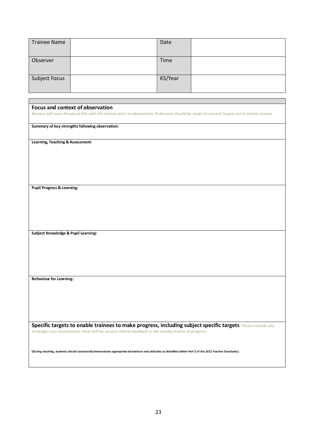| <b>Trainee Name</b>  | Date    |  |
|----------------------|---------|--|
| Observer             | Time    |  |
| <b>Subject Focus</b> | KS/Year |  |

| Focus and context of observation                                                                                                                           |
|------------------------------------------------------------------------------------------------------------------------------------------------------------|
| Mentor will have discussed this with the trainee prior to observation. Reference should be made to current targets set in weekly review.                   |
|                                                                                                                                                            |
|                                                                                                                                                            |
| Summary of key strengths following observation:                                                                                                            |
|                                                                                                                                                            |
|                                                                                                                                                            |
|                                                                                                                                                            |
| Learning, Teaching & Assessment:                                                                                                                           |
|                                                                                                                                                            |
|                                                                                                                                                            |
|                                                                                                                                                            |
|                                                                                                                                                            |
|                                                                                                                                                            |
|                                                                                                                                                            |
|                                                                                                                                                            |
|                                                                                                                                                            |
|                                                                                                                                                            |
|                                                                                                                                                            |
| <b>Pupil Progress &amp; Learning:</b>                                                                                                                      |
|                                                                                                                                                            |
|                                                                                                                                                            |
|                                                                                                                                                            |
|                                                                                                                                                            |
|                                                                                                                                                            |
|                                                                                                                                                            |
|                                                                                                                                                            |
|                                                                                                                                                            |
|                                                                                                                                                            |
|                                                                                                                                                            |
| Subject Knowledge & Pupil Learning:                                                                                                                        |
|                                                                                                                                                            |
|                                                                                                                                                            |
|                                                                                                                                                            |
|                                                                                                                                                            |
|                                                                                                                                                            |
|                                                                                                                                                            |
|                                                                                                                                                            |
|                                                                                                                                                            |
|                                                                                                                                                            |
| <b>Behaviour for Learning:</b>                                                                                                                             |
|                                                                                                                                                            |
|                                                                                                                                                            |
|                                                                                                                                                            |
|                                                                                                                                                            |
|                                                                                                                                                            |
|                                                                                                                                                            |
|                                                                                                                                                            |
|                                                                                                                                                            |
|                                                                                                                                                            |
|                                                                                                                                                            |
| Specific targets to enable trainees to make progress, including subject specific targets. Please include any                                               |
|                                                                                                                                                            |
| strategies you recommend; these will be used to inform feedback in the weekly review of progress.                                                          |
|                                                                                                                                                            |
|                                                                                                                                                            |
|                                                                                                                                                            |
|                                                                                                                                                            |
| (During teaching, students should consistently demonstrate appropriate behaviours and attitudes as identified within Part 2 of the 2012 Teacher Standards) |
|                                                                                                                                                            |
|                                                                                                                                                            |
|                                                                                                                                                            |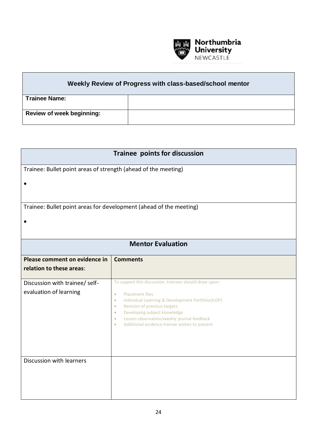

## **Weekly Review of Progress with class-based/school mentor**

| <b>Trainee Name:</b>             |  |
|----------------------------------|--|
|                                  |  |
|                                  |  |
|                                  |  |
| <b>Review of week beginning:</b> |  |
|                                  |  |
|                                  |  |

| Trainee points for discussion                                  |                                                                                                                                                                                                                                                                                                                                                                                    |  |  |
|----------------------------------------------------------------|------------------------------------------------------------------------------------------------------------------------------------------------------------------------------------------------------------------------------------------------------------------------------------------------------------------------------------------------------------------------------------|--|--|
| Trainee: Bullet point areas of strength (ahead of the meeting) |                                                                                                                                                                                                                                                                                                                                                                                    |  |  |
|                                                                |                                                                                                                                                                                                                                                                                                                                                                                    |  |  |
|                                                                | Trainee: Bullet point areas for development (ahead of the meeting)                                                                                                                                                                                                                                                                                                                 |  |  |
|                                                                |                                                                                                                                                                                                                                                                                                                                                                                    |  |  |
|                                                                | <b>Mentor Evaluation</b>                                                                                                                                                                                                                                                                                                                                                           |  |  |
| Please comment on evidence in<br>relation to these areas:      | <b>Comments</b>                                                                                                                                                                                                                                                                                                                                                                    |  |  |
| Discussion with trainee/ self-<br>evaluation of learning       | To support this discussion, trainees should draw upon:<br><b>Placement files</b><br>$\bullet$<br>Individual Learning & Development Portfolio(ILDP)<br>$\bullet$<br>Revision of previous targets<br>$\bullet$<br>Developing subject knowledge<br>$\bullet$<br>Lesson observation/weekly journal feedback<br>$\bullet$<br>Additional evidence trainee wishes to present<br>$\bullet$ |  |  |
| Discussion with learners                                       |                                                                                                                                                                                                                                                                                                                                                                                    |  |  |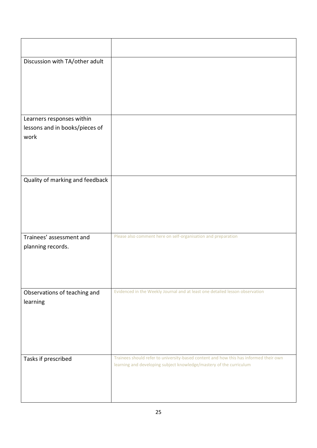| Discussion with TA/other adult                              |                                                                                                                                                              |
|-------------------------------------------------------------|--------------------------------------------------------------------------------------------------------------------------------------------------------------|
|                                                             |                                                                                                                                                              |
|                                                             |                                                                                                                                                              |
|                                                             |                                                                                                                                                              |
| Learners responses within<br>lessons and in books/pieces of |                                                                                                                                                              |
| work                                                        |                                                                                                                                                              |
|                                                             |                                                                                                                                                              |
|                                                             |                                                                                                                                                              |
| Quality of marking and feedback                             |                                                                                                                                                              |
|                                                             |                                                                                                                                                              |
|                                                             |                                                                                                                                                              |
|                                                             |                                                                                                                                                              |
| Trainees' assessment and                                    | Please also comment here on self-organisation and preparation                                                                                                |
| planning records.                                           |                                                                                                                                                              |
|                                                             |                                                                                                                                                              |
|                                                             |                                                                                                                                                              |
| Observations of teaching and                                | Evidenced in the Weekly Journal and at least one detailed lesson observation                                                                                 |
| learning                                                    |                                                                                                                                                              |
|                                                             |                                                                                                                                                              |
|                                                             |                                                                                                                                                              |
|                                                             |                                                                                                                                                              |
| Tasks if prescribed                                         | Trainees should refer to university-based content and how this has informed their own<br>learning and developing subject knowledge/mastery of the curriculum |
|                                                             |                                                                                                                                                              |
|                                                             |                                                                                                                                                              |
|                                                             |                                                                                                                                                              |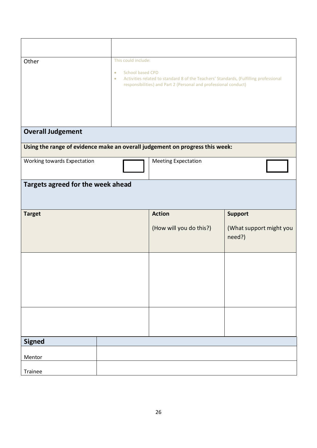| Other                                                                        | This could include:<br>School based CPD<br>$\bullet$<br>Activities related to standard 8 of the Teachers' Standards, (Fulfilling professional<br>$\bullet$<br>responsibilities) and Part 2 (Personal and professional conduct) |                            |                                   |  |
|------------------------------------------------------------------------------|--------------------------------------------------------------------------------------------------------------------------------------------------------------------------------------------------------------------------------|----------------------------|-----------------------------------|--|
| <b>Overall Judgement</b>                                                     |                                                                                                                                                                                                                                |                            |                                   |  |
| Using the range of evidence make an overall judgement on progress this week: |                                                                                                                                                                                                                                |                            |                                   |  |
| Working towards Expectation                                                  |                                                                                                                                                                                                                                | <b>Meeting Expectation</b> |                                   |  |
| Targets agreed for the week ahead                                            |                                                                                                                                                                                                                                |                            |                                   |  |
| <b>Target</b>                                                                |                                                                                                                                                                                                                                | <b>Action</b>              | <b>Support</b>                    |  |
|                                                                              |                                                                                                                                                                                                                                | (How will you do this?)    | (What support might you<br>need?) |  |
|                                                                              |                                                                                                                                                                                                                                |                            |                                   |  |
|                                                                              |                                                                                                                                                                                                                                |                            |                                   |  |
|                                                                              |                                                                                                                                                                                                                                |                            |                                   |  |
| <b>Signed</b>                                                                |                                                                                                                                                                                                                                |                            |                                   |  |
| Mentor                                                                       |                                                                                                                                                                                                                                |                            |                                   |  |
| Trainee                                                                      |                                                                                                                                                                                                                                |                            |                                   |  |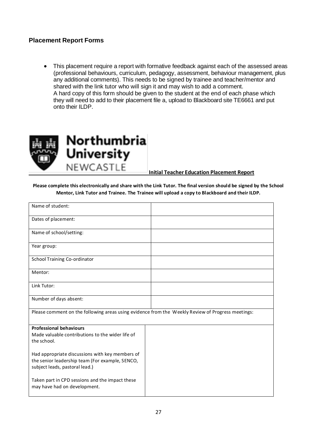#### **Placement Report Forms**

• This placement require a report with formative feedback against each of the assessed areas (professional behaviours, curriculum, pedagogy, assessment, behaviour management, plus any additional comments). This needs to be signed by trainee and teacher/mentor and shared with the link tutor who will sign it and may wish to add a comment. A hard copy of this form should be given to the student at the end of each phase which they will need to add to their placement file a, upload to Blackboard site TE6661 and put onto their ILDP.



**Initial Teacher Education Placement Report**

**Please complete this electronically and share with the Link Tutor. The final version should be signed by the School Mentor, Link Tutor and Trainee. The Trainee will upload a copy to Blackboard and their ILDP.** 

| Name of student:                                                                                  |  |
|---------------------------------------------------------------------------------------------------|--|
| Dates of placement:                                                                               |  |
| Name of school/setting:                                                                           |  |
| Year group:                                                                                       |  |
| School Training Co-ordinator                                                                      |  |
| Mentor:                                                                                           |  |
| Link Tutor:                                                                                       |  |
| Number of days absent:                                                                            |  |
| Please comment on the following areas using evidence from the Weekly Review of Progress meetings: |  |
| <b>Professional behaviours</b>                                                                    |  |
| Made valuable contributions to the wider life of<br>the school.                                   |  |
| Had appropriate discussions with key members of                                                   |  |
| the senior leadership team (For example, SENCO,                                                   |  |
| subject leads, pastoral lead.)                                                                    |  |
| Taken part in CPD sessions and the impact these                                                   |  |
| may have had on development.                                                                      |  |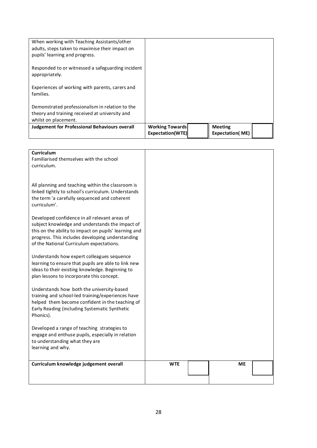| <b>Judgement for Professional Behaviours overall</b>                                                                             | <b>Working Towards</b><br>Expectation(WTE) | <b>Meeting</b><br><b>Expectation(ME)</b> |  |
|----------------------------------------------------------------------------------------------------------------------------------|--------------------------------------------|------------------------------------------|--|
| whilst on placement.                                                                                                             |                                            |                                          |  |
| theory and training received at university and                                                                                   |                                            |                                          |  |
| Demonstrated professionalism in relation to the                                                                                  |                                            |                                          |  |
| Experiences of working with parents, carers and<br>families.                                                                     |                                            |                                          |  |
| Responded to or witnessed a safeguarding incident<br>appropriately.                                                              |                                            |                                          |  |
| When working with Teaching Assistants/other<br>adults, steps taken to maximise their impact on<br>pupils' learning and progress. |                                            |                                          |  |

| Curriculum<br>Familiarised themselves with the school<br>curriculum.                                                                                                                                                                                      |            |    |  |
|-----------------------------------------------------------------------------------------------------------------------------------------------------------------------------------------------------------------------------------------------------------|------------|----|--|
| All planning and teaching within the classroom is<br>linked tightly to school's curriculum. Understands<br>the term 'a carefully sequenced and coherent<br>curriculum'.                                                                                   |            |    |  |
| Developed confidence in all relevant areas of<br>subject knowledge and understands the impact of<br>this on the ability to impact on pupils' learning and<br>progress. This includes developing understanding<br>of the National Curriculum expectations. |            |    |  |
| Understands how expert colleagues sequence<br>learning to ensure that pupils are able to link new<br>ideas to their existing knowledge. Beginning to<br>plan lessons to incorporate this concept.                                                         |            |    |  |
| Understands how both the university-based<br>training and school-led training/experiences have<br>helped them become confident in the teaching of<br>Early Reading (including Systematic Synthetic<br>Phonics).                                           |            |    |  |
| Developed a range of teaching strategies to<br>engage and enthuse pupils, especially in relation<br>to understanding what they are<br>learning and why.                                                                                                   |            |    |  |
| Curriculum knowledge judgement overall                                                                                                                                                                                                                    | <b>WTE</b> | ME |  |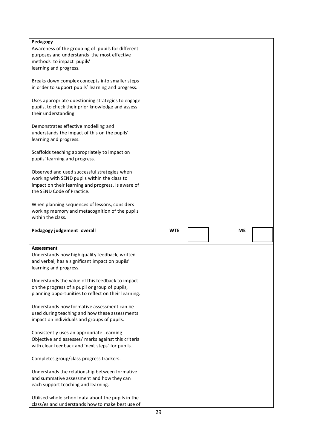| Pedagogy                                                                                               |            |    |  |
|--------------------------------------------------------------------------------------------------------|------------|----|--|
| Awareness of the grouping of pupils for different                                                      |            |    |  |
| purposes and understands the most effective                                                            |            |    |  |
| methods to impact pupils'                                                                              |            |    |  |
| learning and progress.                                                                                 |            |    |  |
|                                                                                                        |            |    |  |
| Breaks down complex concepts into smaller steps                                                        |            |    |  |
| in order to support pupils' learning and progress.                                                     |            |    |  |
| Uses appropriate questioning strategies to engage                                                      |            |    |  |
| pupils, to check their prior knowledge and assess                                                      |            |    |  |
| their understanding.                                                                                   |            |    |  |
|                                                                                                        |            |    |  |
| Demonstrates effective modelling and                                                                   |            |    |  |
| understands the impact of this on the pupils'                                                          |            |    |  |
| learning and progress.                                                                                 |            |    |  |
|                                                                                                        |            |    |  |
| Scaffolds teaching appropriately to impact on                                                          |            |    |  |
| pupils' learning and progress.                                                                         |            |    |  |
|                                                                                                        |            |    |  |
| Observed and used successful strategies when                                                           |            |    |  |
| working with SEND pupils within the class to                                                           |            |    |  |
| impact on their learning and progress. Is aware of                                                     |            |    |  |
| the SEND Code of Practice.                                                                             |            |    |  |
|                                                                                                        |            |    |  |
| When planning sequences of lessons, considers                                                          |            |    |  |
| working memory and metacognition of the pupils                                                         |            |    |  |
| within the class.                                                                                      |            |    |  |
|                                                                                                        |            |    |  |
|                                                                                                        |            |    |  |
| Pedagogy judgement overall                                                                             | <b>WTE</b> | ME |  |
|                                                                                                        |            |    |  |
|                                                                                                        |            |    |  |
| <b>Assessment</b>                                                                                      |            |    |  |
| Understands how high quality feedback, written                                                         |            |    |  |
| and verbal, has a significant impact on pupils'                                                        |            |    |  |
| learning and progress.                                                                                 |            |    |  |
|                                                                                                        |            |    |  |
| Understands the value of this feedback to impact                                                       |            |    |  |
| on the progress of a pupil or group of pupils,                                                         |            |    |  |
| planning opportunities to reflect on their learning.                                                   |            |    |  |
|                                                                                                        |            |    |  |
| Understands how formative assessment can be                                                            |            |    |  |
| used during teaching and how these assessments                                                         |            |    |  |
| impact on individuals and groups of pupils.                                                            |            |    |  |
|                                                                                                        |            |    |  |
| Consistently uses an appropriate Learning                                                              |            |    |  |
| Objective and assesses/ marks against this criteria                                                    |            |    |  |
| with clear feedback and 'next steps' for pupils.                                                       |            |    |  |
| Completes group/class progress trackers.                                                               |            |    |  |
|                                                                                                        |            |    |  |
| Understands the relationship between formative                                                         |            |    |  |
| and summative assessment and how they can                                                              |            |    |  |
| each support teaching and learning.                                                                    |            |    |  |
|                                                                                                        |            |    |  |
| Utilised whole school data about the pupils in the<br>class/es and understands how to make best use of |            |    |  |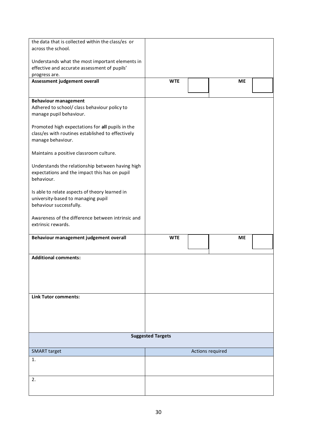| the data that is collected within the class/es or                       |                          |                  |           |  |
|-------------------------------------------------------------------------|--------------------------|------------------|-----------|--|
| across the school.                                                      |                          |                  |           |  |
|                                                                         |                          |                  |           |  |
| Understands what the most important elements in                         |                          |                  |           |  |
| effective and accurate assessment of pupils'<br>progress are.           |                          |                  |           |  |
| Assessment judgement overall                                            | <b>WTE</b>               |                  | <b>ME</b> |  |
|                                                                         |                          |                  |           |  |
|                                                                         |                          |                  |           |  |
| <b>Behaviour management</b>                                             |                          |                  |           |  |
| Adhered to school/ class behaviour policy to<br>manage pupil behaviour. |                          |                  |           |  |
|                                                                         |                          |                  |           |  |
| Promoted high expectations for all pupils in the                        |                          |                  |           |  |
| class/es with routines established to effectively                       |                          |                  |           |  |
| manage behaviour.                                                       |                          |                  |           |  |
|                                                                         |                          |                  |           |  |
| Maintains a positive classroom culture.                                 |                          |                  |           |  |
| Understands the relationship between having high                        |                          |                  |           |  |
| expectations and the impact this has on pupil                           |                          |                  |           |  |
| behaviour.                                                              |                          |                  |           |  |
|                                                                         |                          |                  |           |  |
| Is able to relate aspects of theory learned in                          |                          |                  |           |  |
| university-based to managing pupil                                      |                          |                  |           |  |
| behaviour successfully.                                                 |                          |                  |           |  |
| Awareness of the difference between intrinsic and                       |                          |                  |           |  |
| extrinsic rewards.                                                      |                          |                  |           |  |
|                                                                         |                          |                  |           |  |
|                                                                         |                          |                  |           |  |
| Behaviour management judgement overall                                  | <b>WTE</b>               |                  | <b>ME</b> |  |
|                                                                         |                          |                  |           |  |
| <b>Additional comments:</b>                                             |                          |                  |           |  |
|                                                                         |                          |                  |           |  |
|                                                                         |                          |                  |           |  |
|                                                                         |                          |                  |           |  |
|                                                                         |                          |                  |           |  |
| <b>Link Tutor comments:</b>                                             |                          |                  |           |  |
|                                                                         |                          |                  |           |  |
|                                                                         |                          |                  |           |  |
|                                                                         |                          |                  |           |  |
|                                                                         |                          |                  |           |  |
|                                                                         | <b>Suggested Targets</b> |                  |           |  |
|                                                                         |                          |                  |           |  |
| <b>SMART</b> target                                                     |                          | Actions required |           |  |
| 1.                                                                      |                          |                  |           |  |
|                                                                         |                          |                  |           |  |
|                                                                         |                          |                  |           |  |
| 2.                                                                      |                          |                  |           |  |